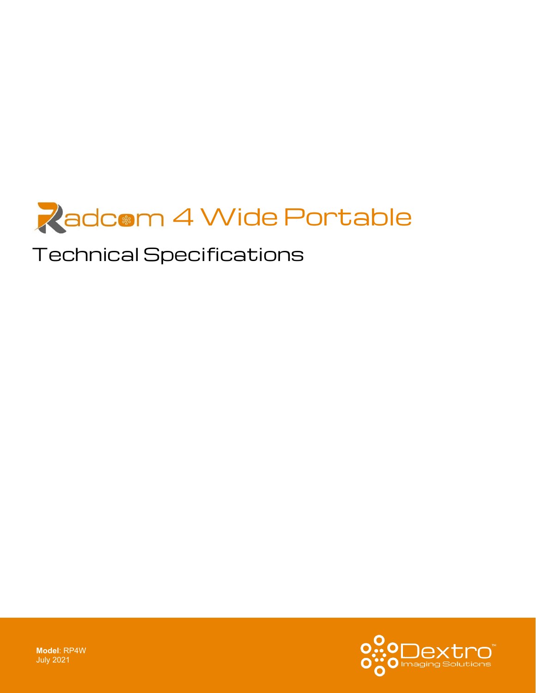

# Technical Specifications

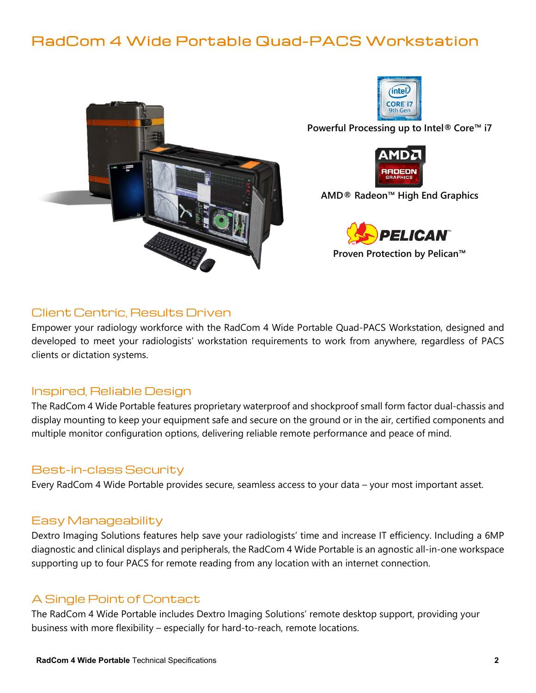## RadCom 4 Wide Portable Quad-PACS Workstation





**Powerful Processing up to Intel® Core™ i7**



**AMD® Radeon™ High End Graphics**



**Proven Protection by Pelican™**

#### Client Centric, Results Driven

Empower your radiology workforce with the RadCom 4 Wide Portable Quad-PACS Workstation, designed and developed to meet your radiologists' workstation requirements to work from anywhere, regardless of PACS clients or dictation systems.

#### Inspired, Reliable Design

The RadCom 4 Wide Portable features proprietary waterproof and shockproof small form factor dual-chassis and display mounting to keep your equipment safe and secure on the ground or in the air, certified components and multiple monitor configuration options, delivering reliable remote performance and peace of mind.

#### Best-in-class Security

Every RadCom 4 Wide Portable provides secure, seamless access to your data – your most important asset.

#### Easy Manageability

Dextro Imaging Solutions features help save your radiologists' time and increase IT efficiency. Including a 6MP diagnostic and clinical displays and peripherals, the RadCom 4 Wide Portable is an agnostic all-in-one workspace supporting up to four PACS for remote reading from any location with an internet connection.

### A Single Point of Contact

The RadCom 4 Wide Portable includes Dextro Imaging Solutions' remote desktop support, providing your business with more flexibility – especially for hard-to-reach, remote locations.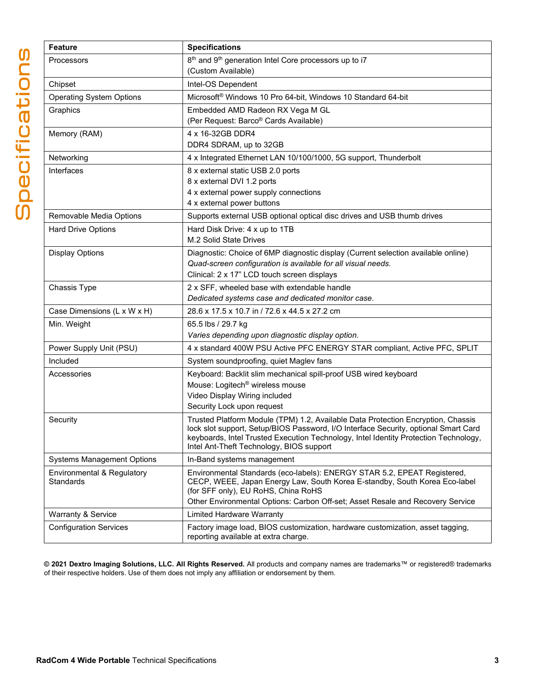| <b>Feature</b>                    | <b>Specifications</b>                                                                                                                                                   |
|-----------------------------------|-------------------------------------------------------------------------------------------------------------------------------------------------------------------------|
| Processors                        | 8 <sup>th</sup> and 9 <sup>th</sup> generation Intel Core processors up to i7                                                                                           |
|                                   | (Custom Available)                                                                                                                                                      |
| Chipset                           | Intel-OS Dependent                                                                                                                                                      |
| <b>Operating System Options</b>   | Microsoft® Windows 10 Pro 64-bit, Windows 10 Standard 64-bit                                                                                                            |
| Graphics                          | Embedded AMD Radeon RX Vega M GL                                                                                                                                        |
|                                   | (Per Request: Barco® Cards Available)                                                                                                                                   |
| Memory (RAM)                      | 4 x 16-32GB DDR4                                                                                                                                                        |
|                                   | DDR4 SDRAM, up to 32GB                                                                                                                                                  |
| Networking                        | 4 x Integrated Ethernet LAN 10/100/1000, 5G support, Thunderbolt                                                                                                        |
| Interfaces                        | 8 x external static USB 2.0 ports                                                                                                                                       |
|                                   | 8 x external DVI 1.2 ports                                                                                                                                              |
|                                   | 4 x external power supply connections<br>4 x external power buttons                                                                                                     |
|                                   | Supports external USB optional optical disc drives and USB thumb drives                                                                                                 |
| Removable Media Options           |                                                                                                                                                                         |
| <b>Hard Drive Options</b>         | Hard Disk Drive: 4 x up to 1TB<br>M.2 Solid State Drives                                                                                                                |
|                                   | Diagnostic: Choice of 6MP diagnostic display (Current selection available online)                                                                                       |
| <b>Display Options</b>            | Quad-screen configuration is available for all visual needs.                                                                                                            |
|                                   | Clinical: 2 x 17" LCD touch screen displays                                                                                                                             |
| Chassis Type                      | 2 x SFF, wheeled base with extendable handle                                                                                                                            |
|                                   | Dedicated systems case and dedicated monitor case.                                                                                                                      |
| Case Dimensions (L x W x H)       | 28.6 x 17.5 x 10.7 in / 72.6 x 44.5 x 27.2 cm                                                                                                                           |
| Min. Weight                       | 65.5 lbs / 29.7 kg                                                                                                                                                      |
|                                   | Varies depending upon diagnostic display option.                                                                                                                        |
| Power Supply Unit (PSU)           | 4 x standard 400W PSU Active PFC ENERGY STAR compliant, Active PFC, SPLIT                                                                                               |
| Included                          | System soundproofing, quiet Maglev fans                                                                                                                                 |
| Accessories                       | Keyboard: Backlit slim mechanical spill-proof USB wired keyboard                                                                                                        |
|                                   | Mouse: Logitech <sup>®</sup> wireless mouse                                                                                                                             |
|                                   | Video Display Wiring included                                                                                                                                           |
|                                   | Security Lock upon request                                                                                                                                              |
| Security                          | Trusted Platform Module (TPM) 1.2, Available Data Protection Encryption, Chassis<br>lock slot support, Setup/BIOS Password, I/O Interface Security, optional Smart Card |
|                                   | keyboards, Intel Trusted Execution Technology, Intel Identity Protection Technology,                                                                                    |
|                                   | Intel Ant-Theft Technology, BIOS support                                                                                                                                |
| <b>Systems Management Options</b> | In-Band systems management                                                                                                                                              |
| Environmental & Regulatory        | Environmental Standards (eco-labels): ENERGY STAR 5.2, EPEAT Registered,                                                                                                |
| Standards                         | CECP, WEEE, Japan Energy Law, South Korea E-standby, South Korea Eco-label<br>(for SFF only), EU RoHS, China RoHS                                                       |
|                                   | Other Environmental Options: Carbon Off-set; Asset Resale and Recovery Service                                                                                          |
| <b>Warranty &amp; Service</b>     | <b>Limited Hardware Warranty</b>                                                                                                                                        |
| <b>Configuration Services</b>     | Factory image load, BIOS customization, hardware customization, asset tagging,                                                                                          |
|                                   | reporting available at extra charge.                                                                                                                                    |

**© 2021 Dextro Imaging Solutions, LLC. All Rights Reserved.** All products and company names are trademarks™ or registered® trademarks of their respective holders. Use of them does not imply any affiliation or endorsement by them.